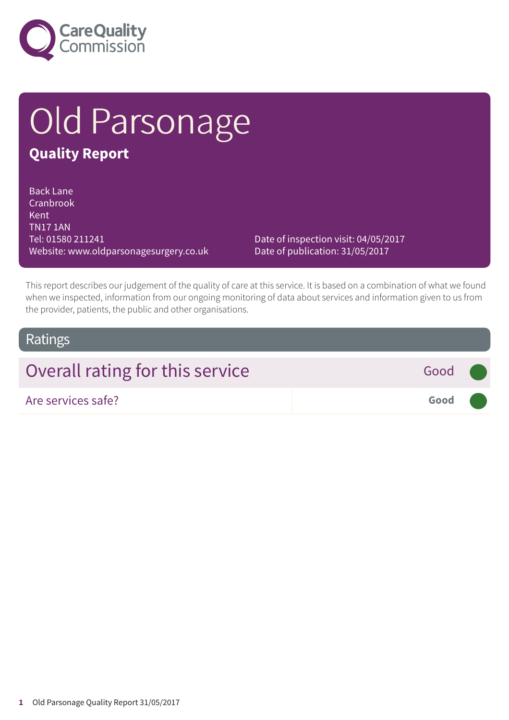

# Old Parsonage

### **Quality Report**

Back Lane Cranbrook Kent TN17 1AN Tel: 01580 211241 Website: www.oldparsonagesurgery.co.uk

Date of inspection visit: 04/05/2017 Date of publication: 31/05/2017

This report describes our judgement of the quality of care at this service. It is based on a combination of what we found when we inspected, information from our ongoing monitoring of data about services and information given to us from the provider, patients, the public and other organisations.

### Ratings

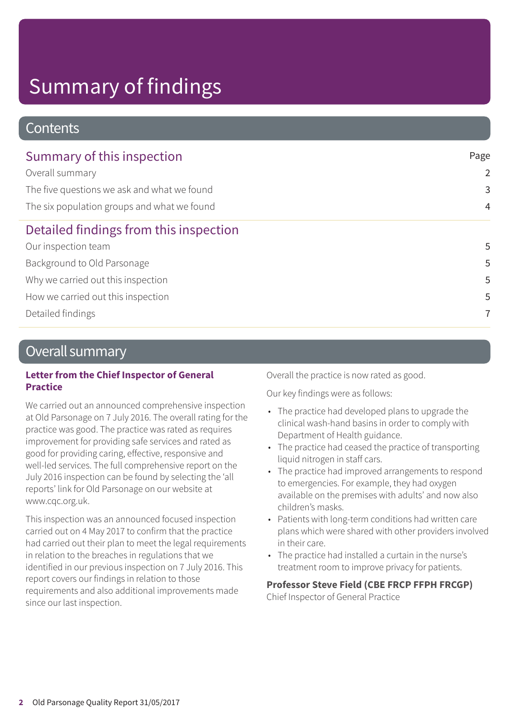# Summary of findings

### **Contents**

| Summary of this inspection                  | Page           |  |
|---------------------------------------------|----------------|--|
| Overall summary                             | $\overline{2}$ |  |
| The five questions we ask and what we found | 3              |  |
| The six population groups and what we found | $\overline{4}$ |  |
| Detailed findings from this inspection      |                |  |
| Our inspection team                         | 5              |  |
| Background to Old Parsonage                 | 5              |  |
| Why we carried out this inspection          | 5              |  |
| How we carried out this inspection          | 5              |  |
| Detailed findings                           | 7              |  |

### Overall summary

#### **Letter from the Chief Inspector of General Practice**

We carried out an announced comprehensive inspection at Old Parsonage on 7 July 2016. The overall rating for the practice was good. The practice was rated as requires improvement for providing safe services and rated as good for providing caring, effective, responsive and well-led services. The full comprehensive report on the July 2016 inspection can be found by selecting the 'all reports' link for Old Parsonage on our website at www.cqc.org.uk.

This inspection was an announced focused inspection carried out on 4 May 2017 to confirm that the practice had carried out their plan to meet the legal requirements in relation to the breaches in regulations that we identified in our previous inspection on 7 July 2016. This report covers our findings in relation to those requirements and also additional improvements made since our last inspection.

Overall the practice is now rated as good.

Our key findings were as follows:

- The practice had developed plans to upgrade the clinical wash-hand basins in order to comply with Department of Health guidance.
- The practice had ceased the practice of transporting liquid nitrogen in staff cars.
- The practice had improved arrangements to respond to emergencies. For example, they had oxygen available on the premises with adults' and now also children's masks.
- Patients with long-term conditions had written care plans which were shared with other providers involved in their care.
- The practice had installed a curtain in the nurse's treatment room to improve privacy for patients.

**Professor Steve Field (CBE FRCP FFPH FRCGP)** Chief Inspector of General Practice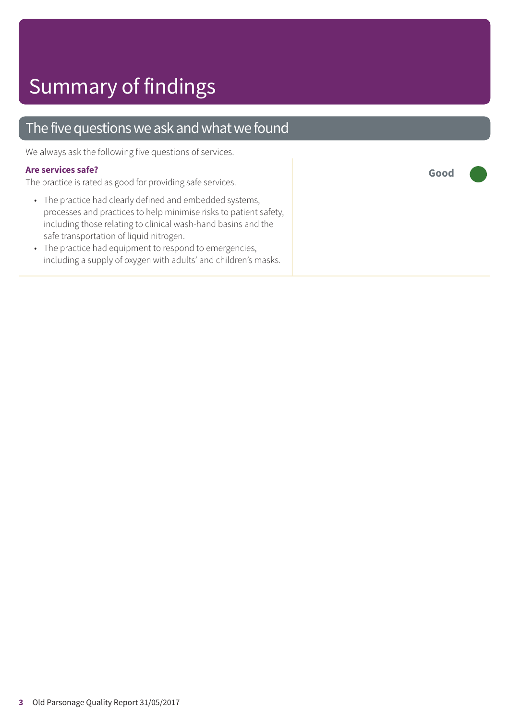### The five questions we ask and what we found

We always ask the following five questions of services.

#### **Are services safe?**

The practice is rated as good for providing safe services.

- The practice had clearly defined and embedded systems, processes and practices to help minimise risks to patient safety, including those relating to clinical wash-hand basins and the safe transportation of liquid nitrogen.
- The practice had equipment to respond to emergencies, including a supply of oxygen with adults' and children's masks.

**Good –––**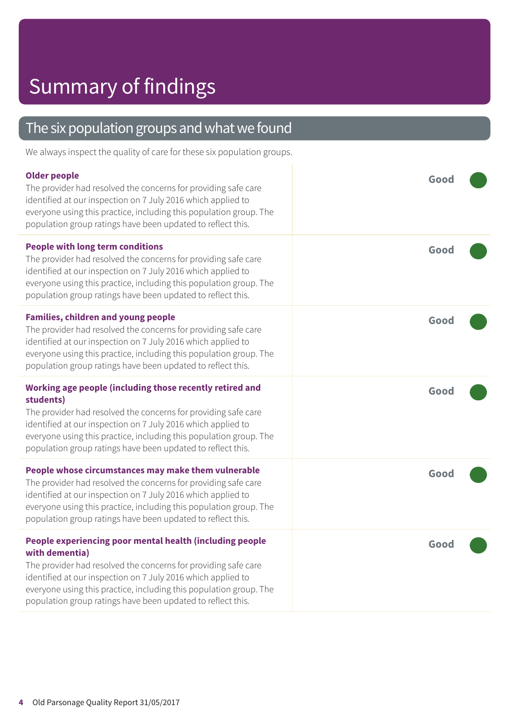# Summary of findings

| The six population groups and what we found                                                                                                                                                                                                                                                                                                       |      |
|---------------------------------------------------------------------------------------------------------------------------------------------------------------------------------------------------------------------------------------------------------------------------------------------------------------------------------------------------|------|
| We always inspect the quality of care for these six population groups.                                                                                                                                                                                                                                                                            |      |
| <b>Older people</b><br>The provider had resolved the concerns for providing safe care<br>identified at our inspection on 7 July 2016 which applied to<br>everyone using this practice, including this population group. The<br>population group ratings have been updated to reflect this.                                                        | Good |
| <b>People with long term conditions</b><br>The provider had resolved the concerns for providing safe care<br>identified at our inspection on 7 July 2016 which applied to<br>everyone using this practice, including this population group. The<br>population group ratings have been updated to reflect this.                                    | Good |
| <b>Families, children and young people</b><br>The provider had resolved the concerns for providing safe care<br>identified at our inspection on 7 July 2016 which applied to<br>everyone using this practice, including this population group. The<br>population group ratings have been updated to reflect this.                                 | Good |
| Working age people (including those recently retired and<br>students)<br>The provider had resolved the concerns for providing safe care<br>identified at our inspection on 7 July 2016 which applied to<br>everyone using this practice, including this population group. The<br>population group ratings have been updated to reflect this.      | Good |
| People whose circumstances may make them vulnerable<br>The provider had resolved the concerns for providing safe care<br>identified at our inspection on 7 July 2016 which applied to<br>everyone using this practice, including this population group. The<br>population group ratings have been updated to reflect this.                        | Good |
| People experiencing poor mental health (including people<br>with dementia)<br>The provider had resolved the concerns for providing safe care<br>identified at our inspection on 7 July 2016 which applied to<br>everyone using this practice, including this population group. The<br>population group ratings have been updated to reflect this. | Good |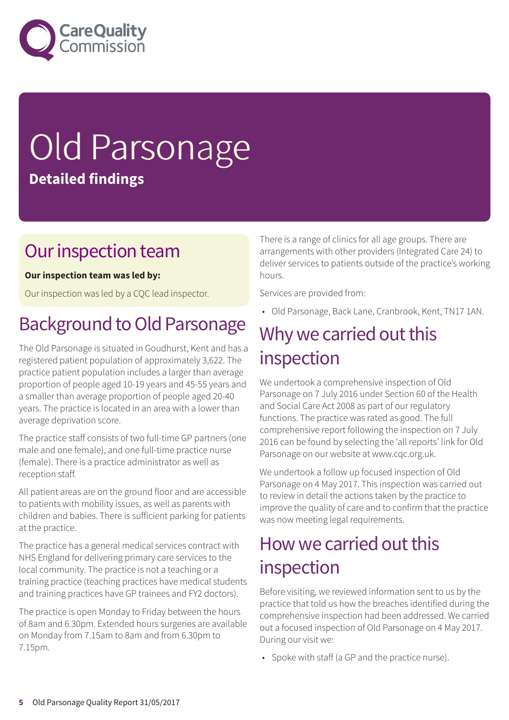

# Old Parsonage **Detailed findings**

### Our inspection team

### **Our inspection team was led by:**

Our inspection was led by a CQC lead inspector.

### Background to Old Parsonage

The Old Parsonage is situated in Goudhurst, Kent and has a registered patient population of approximately 3,622. The practice patient population includes a larger than average proportion of people aged 10-19 years and 45-55 years and a smaller than average proportion of people aged 20-40 years. The practice is located in an area with a lower than average deprivation score.

The practice staff consists of two full-time GP partners (one male and one female), and one full-time practice nurse (female). There is a practice administrator as well as reception staff.

All patient areas are on the ground floor and are accessible to patients with mobility issues, as well as parents with children and babies. There is sufficient parking for patients at the practice.

The practice has a general medical services contract with NHS England for delivering primary care services to the local community. The practice is not a teaching or a training practice (teaching practices have medical students and training practices have GP trainees and FY2 doctors).

The practice is open Monday to Friday between the hours of 8am and 6.30pm. Extended hours surgeries are available on Monday from 7.15am to 8am and from 6.30pm to 7.15pm.

There is a range of clinics for all age groups. There are arrangements with other providers (Integrated Care 24) to deliver services to patients outside of the practice's working hours.

Services are provided from:

• Old Parsonage, Back Lane, Cranbrook, Kent, TN17 1AN.

### Why we carried out this inspection

We undertook a comprehensive inspection of Old Parsonage on 7 July 2016 under Section 60 of the Health and Social Care Act 2008 as part of our regulatory functions. The practice was rated as good. The full comprehensive report following the inspection on 7 July 2016 can be found by selecting the 'all reports' link for Old Parsonage on our website at www.cqc.org.uk.

We undertook a follow up focused inspection of Old Parsonage on 4 May 2017. This inspection was carried out to review in detail the actions taken by the practice to improve the quality of care and to confirm that the practice was now meeting legal requirements.

### How we carried out this inspection

Before visiting, we reviewed information sent to us by the practice that told us how the breaches identified during the comprehensive inspection had been addressed. We carried out a focused inspection of Old Parsonage on 4 May 2017. During our visit we:

• Spoke with staff (a GP and the practice nurse).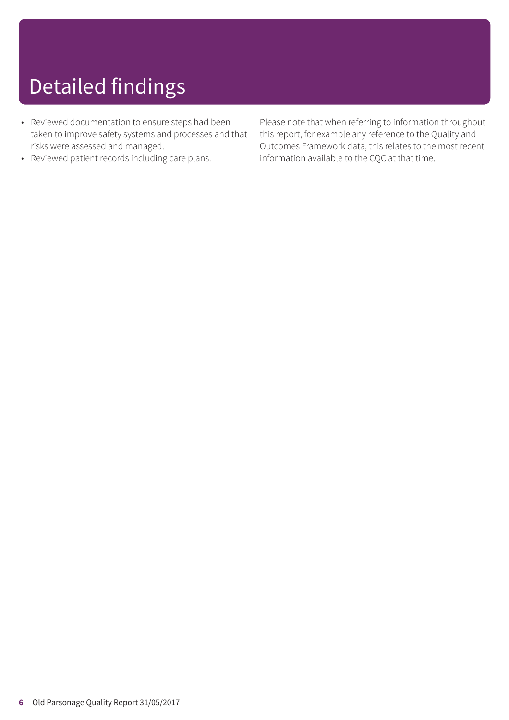# Detailed findings

- Reviewed documentation to ensure steps had been taken to improve safety systems and processes and that risks were assessed and managed.
- Reviewed patient records including care plans.

Please note that when referring to information throughout this report, for example any reference to the Quality and Outcomes Framework data, this relates to the most recent information available to the CQC at that time.